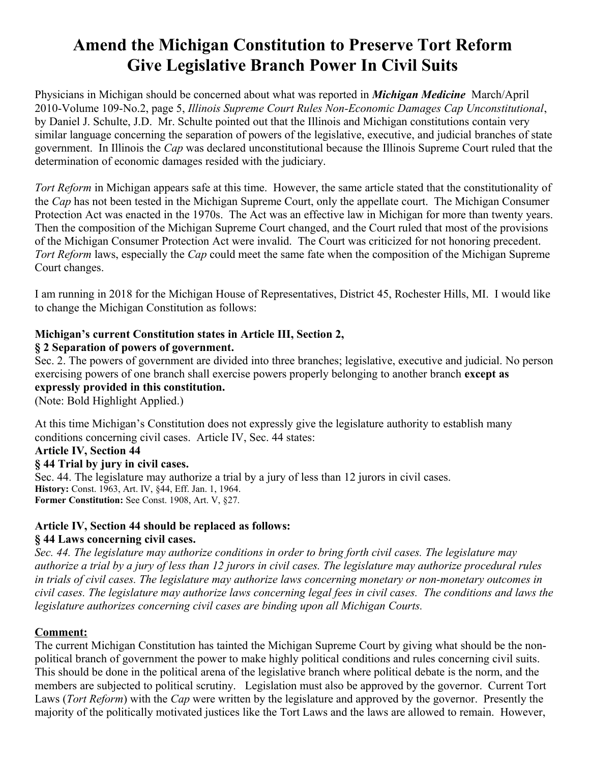# **Amend the Michigan Constitution to Preserve Tort Reform Give Legislative Branch Power In Civil Suits**

Physicians in Michigan should be concerned about what was reported in *Michigan Medicine* March/April 2010-Volume 109-No.2, page 5, *Illinois Supreme Court Rules Non-Economic Damages Cap Unconstitutional*, by Daniel J. Schulte, J.D. Mr. Schulte pointed out that the Illinois and Michigan constitutions contain very similar language concerning the separation of powers of the legislative, executive, and judicial branches of state government. In Illinois the *Cap* was declared unconstitutional because the Illinois Supreme Court ruled that the determination of economic damages resided with the judiciary.

*Tort Reform* in Michigan appears safe at this time. However, the same article stated that the constitutionality of the *Cap* has not been tested in the Michigan Supreme Court, only the appellate court. The Michigan Consumer Protection Act was enacted in the 1970s. The Act was an effective law in Michigan for more than twenty years. Then the composition of the Michigan Supreme Court changed, and the Court ruled that most of the provisions of the Michigan Consumer Protection Act were invalid. The Court was criticized for not honoring precedent. *Tort Reform* laws, especially the *Cap* could meet the same fate when the composition of the Michigan Supreme Court changes.

I am running in 2018 for the Michigan House of Representatives, District 45, Rochester Hills, MI. I would like to change the Michigan Constitution as follows:

# **Michigan's current Constitution states in Article III, Section 2,**

#### **§ 2 Separation of powers of government.**

Sec. 2. The powers of government are divided into three branches; legislative, executive and judicial. No person exercising powers of one branch shall exercise powers properly belonging to another branch **except as expressly provided in this constitution.**

(Note: Bold Highlight Applied.)

At this time Michigan's Constitution does not expressly give the legislature authority to establish many conditions concerning civil cases. Article IV, Sec. 44 states:

#### **Article IV, Section 44**

#### **§ 44 Trial by jury in civil cases.**

Sec. 44. The legislature may authorize a trial by a jury of less than 12 jurors in civil cases. **History:** Const. 1963, Art. IV, §44, Eff. Jan. 1, 1964. **Former Constitution:** See Const. 1908, Art. V, §27.

## **Article IV, Section 44 should be replaced as follows:**

#### **§ 44 Laws concerning civil cases.**

*Sec. 44. The legislature may authorize conditions in order to bring forth civil cases. The legislature may authorize a trial by a jury of less than 12 jurors in civil cases. The legislature may authorize procedural rules in trials of civil cases. The legislature may authorize laws concerning monetary or non-monetary outcomes in civil cases. The legislature may authorize laws concerning legal fees in civil cases. The conditions and laws the legislature authorizes concerning civil cases are binding upon all Michigan Courts.*

## **Comment:**

The current Michigan Constitution has tainted the Michigan Supreme Court by giving what should be the nonpolitical branch of government the power to make highly political conditions and rules concerning civil suits. This should be done in the political arena of the legislative branch where political debate is the norm, and the members are subjected to political scrutiny. Legislation must also be approved by the governor. Current Tort Laws (*Tort Reform*) with the *Cap* were written by the legislature and approved by the governor. Presently the majority of the politically motivated justices like the Tort Laws and the laws are allowed to remain. However,